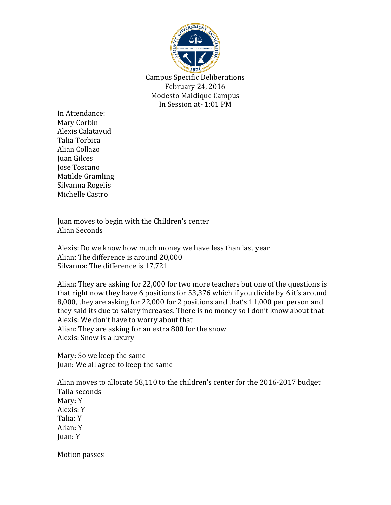

Campus Specific Deliberations February 24, 2016 Modesto Maidique Campus In Session at- 1:01 PM

In Attendance: Mary Corbin Alexis Calatayud Talia Torbica Alian Collazo Juan Gilces Jose Toscano Matilde Gramling Silvanna Rogelis Michelle Castro

Juan moves to begin with the Children's center Alian Seconds

Alexis: Do we know how much money we have less than last year Alian: The difference is around 20,000 Silvanna: The difference is 17,721

Alian: They are asking for 22,000 for two more teachers but one of the questions is that right now they have 6 positions for 53,376 which if you divide by 6 it's around 8,000, they are asking for 22,000 for 2 positions and that's 11,000 per person and they said its due to salary increases. There is no money so I don't know about that Alexis: We don't have to worry about that Alian: They are asking for an extra 800 for the snow Alexis: Snow is a luxury

Mary: So we keep the same Juan: We all agree to keep the same

Alian moves to allocate 58,110 to the children's center for the 2016-2017 budget Talia seconds Mary: Y Alexis: Y Talia: Y Alian: Y Juan: Y

Motion passes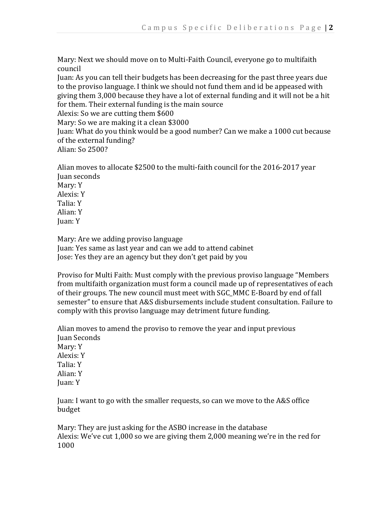Mary: Next we should move on to Multi-Faith Council, everyone go to multifaith council

Juan: As you can tell their budgets has been decreasing for the past three years due to the proviso language. I think we should not fund them and id be appeased with giving them 3,000 because they have a lot of external funding and it will not be a hit for them. Their external funding is the main source

Alexis: So we are cutting them \$600

Mary: So we are making it a clean \$3000

Juan: What do you think would be a good number? Can we make a 1000 cut because of the external funding?

Alian: So 2500?

Alian moves to allocate \$2500 to the multi-faith council for the 2016-2017 year Juan seconds Mary: Y Alexis: Y Talia: Y Alian: Y Juan: Y

Mary: Are we adding proviso language

Juan: Yes same as last year and can we add to attend cabinet Jose: Yes they are an agency but they don't get paid by you

Proviso for Multi Faith: Must comply with the previous proviso language "Members from multifaith organization must form a council made up of representatives of each of their groups. The new council must meet with SGC\_MMC E-Board by end of fall semester" to ensure that A&S disbursements include student consultation. Failure to comply with this proviso language may detriment future funding.

Alian moves to amend the proviso to remove the year and input previous Juan Seconds Mary: Y Alexis: Y Talia: Y Alian: Y Juan: Y

Juan: I want to go with the smaller requests, so can we move to the A&S office budget

Mary: They are just asking for the ASBO increase in the database Alexis: We've cut 1,000 so we are giving them 2,000 meaning we're in the red for 1000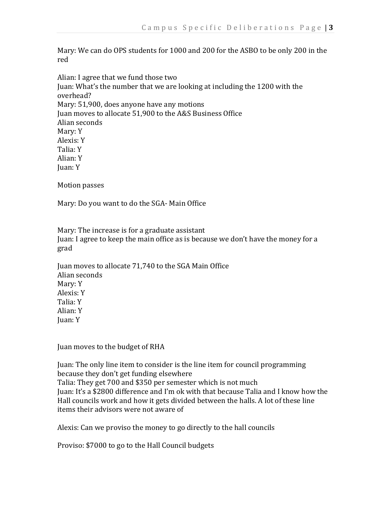Mary: We can do OPS students for 1000 and 200 for the ASBO to be only 200 in the red

Alian: I agree that we fund those two Juan: What's the number that we are looking at including the 1200 with the overhead? Mary: 51,900, does anyone have any motions Juan moves to allocate 51,900 to the A&S Business Office Alian seconds Mary: Y Alexis: Y Talia: Y Alian: Y Juan: Y

Motion passes

Mary: Do you want to do the SGA- Main Office

Mary: The increase is for a graduate assistant Juan: I agree to keep the main office as is because we don't have the money for a grad

Juan moves to allocate 71,740 to the SGA Main Office Alian seconds Mary: Y Alexis: Y Talia: Y Alian: Y Juan: Y

Juan moves to the budget of RHA

Juan: The only line item to consider is the line item for council programming because they don't get funding elsewhere Talia: They get 700 and \$350 per semester which is not much Juan: It's a \$2800 difference and I'm ok with that because Talia and I know how the Hall councils work and how it gets divided between the halls. A lot of these line items their advisors were not aware of

Alexis: Can we proviso the money to go directly to the hall councils

Proviso: \$7000 to go to the Hall Council budgets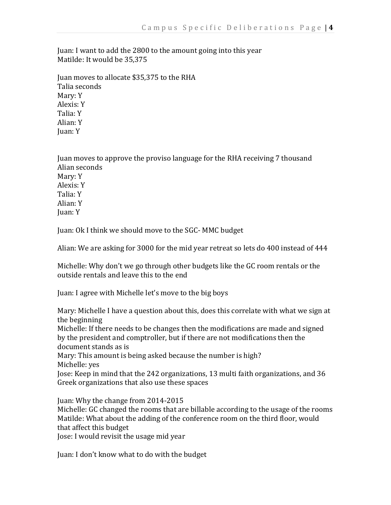Juan: I want to add the 2800 to the amount going into this year Matilde: It would be 35,375

Juan moves to allocate \$35,375 to the RHA Talia seconds Mary: Y Alexis: Y Talia: Y Alian: Y Juan: Y

Juan moves to approve the proviso language for the RHA receiving 7 thousand Alian seconds Mary: Y Alexis: Y Talia: Y Alian: Y Juan: Y

Juan: Ok I think we should move to the SGC- MMC budget

Alian: We are asking for 3000 for the mid year retreat so lets do 400 instead of 444

Michelle: Why don't we go through other budgets like the GC room rentals or the outside rentals and leave this to the end

Juan: I agree with Michelle let's move to the big boys

Mary: Michelle I have a question about this, does this correlate with what we sign at the beginning

Michelle: If there needs to be changes then the modifications are made and signed by the president and comptroller, but if there are not modifications then the document stands as is

Mary: This amount is being asked because the number is high? Michelle: yes

Jose: Keep in mind that the 242 organizations, 13 multi faith organizations, and 36 Greek organizations that also use these spaces

Juan: Why the change from 2014-2015

Michelle: GC changed the rooms that are billable according to the usage of the rooms Matilde: What about the adding of the conference room on the third floor, would that affect this budget

Jose: I would revisit the usage mid year

Juan: I don't know what to do with the budget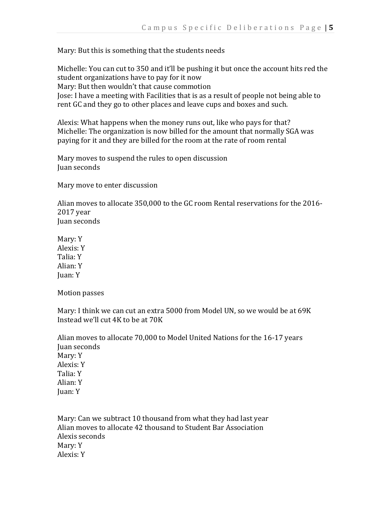Mary: But this is something that the students needs

Michelle: You can cut to 350 and it'll be pushing it but once the account hits red the student organizations have to pay for it now Mary: But then wouldn't that cause commotion Jose: I have a meeting with Facilities that is as a result of people not being able to rent GC and they go to other places and leave cups and boxes and such.

Alexis: What happens when the money runs out, like who pays for that? Michelle: The organization is now billed for the amount that normally SGA was paying for it and they are billed for the room at the rate of room rental

Mary moves to suspend the rules to open discussion Juan seconds

Mary move to enter discussion

Alian moves to allocate 350,000 to the GC room Rental reservations for the 2016- 2017 year Juan seconds

Mary: Y Alexis: Y Talia: Y Alian: Y Juan: Y

Motion passes

Mary: I think we can cut an extra 5000 from Model UN, so we would be at 69K Instead we'll cut 4K to be at 70K

Alian moves to allocate 70,000 to Model United Nations for the 16-17 years Juan seconds Mary: Y Alexis: Y Talia: Y Alian: Y Juan: Y

Mary: Can we subtract 10 thousand from what they had last year Alian moves to allocate 42 thousand to Student Bar Association Alexis seconds Mary: Y Alexis: Y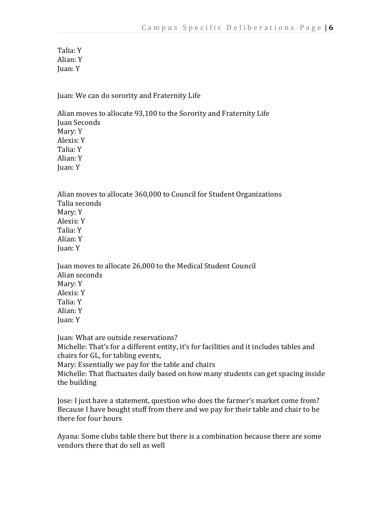Talia: Y Alian: Y Juan: Y

Juan: We can do sorority and Fraternity Life

Alian moves to allocate 93,100 to the Sorority and Fraternity Life Juan Seconds Mary: Y Alexis: Y Talia: Y Alian: Y Juan: Y

Alian moves to allocate 360,000 to Council for Student Organizations Talia seconds Mary: Y Alexis: Y Talia: Y Alian: Y Juan: Y

Juan moves to allocate 26,000 to the Medical Student Council Alian seconds Mary: Y Alexis: Y Talia: Y Alian: Y Juan: Y

Juan: What are outside reservations? Michelle: That's for a different entity, it's for facilities and it includes tables and chairs for GL, for tabling events, Mary: Essentially we pay for the table and chairs Michelle: That fluctuates daily based on how many students can get spacing inside the building

Jose: I just have a statement, question who does the farmer's market come from? Because I have bought stuff from there and we pay for their table and chair to be there for four hours

Ayana: Some clubs table there but there is a combination because there are some vendors there that do sell as well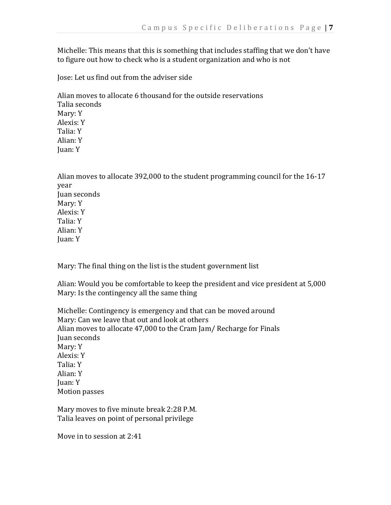Michelle: This means that this is something that includes staffing that we don't have to figure out how to check who is a student organization and who is not

Jose: Let us find out from the adviser side

Alian moves to allocate 6 thousand for the outside reservations Talia seconds Mary: Y Alexis: Y Talia: Y Alian: Y Juan: Y

Alian moves to allocate 392,000 to the student programming council for the 16-17 year Juan seconds Mary: Y Alexis: Y Talia: Y Alian: Y Juan: Y

Mary: The final thing on the list is the student government list

Alian: Would you be comfortable to keep the president and vice president at 5,000 Mary: Is the contingency all the same thing

Michelle: Contingency is emergency and that can be moved around Mary: Can we leave that out and look at others Alian moves to allocate 47,000 to the Cram Jam/ Recharge for Finals Juan seconds Mary: Y Alexis: Y Talia: Y Alian: Y Juan: Y Motion passes

Mary moves to five minute break 2:28 P.M. Talia leaves on point of personal privilege

Move in to session at 2:41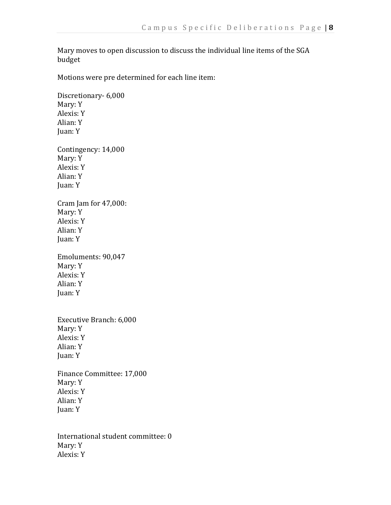Mary moves to open discussion to discuss the individual line items of the SGA budget

Motions were pre determined for each line item:

Discretionary- 6,000 Mary: Y Alexis: Y Alian: Y Juan: Y Contingency: 14,000 Mary: Y Alexis: Y Alian: Y Juan: Y Cram Jam for 47,000: Mary: Y Alexis: Y Alian: Y Juan: Y Emoluments: 90,047 Mary: Y Alexis: Y Alian: Y Juan: Y Executive Branch: 6,000 Mary: Y Alexis: Y Alian: Y Juan: Y Finance Committee: 17,000 Mary: Y Alexis: Y Alian: Y Juan: Y

International student committee: 0 Mary: Y Alexis: Y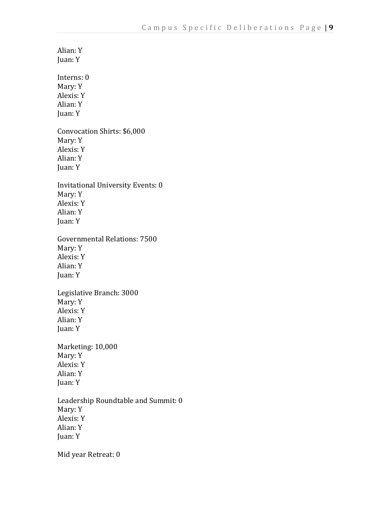Alian: Y Juan: Y Interns: 0 Mary: Y Alexis: Y Alian: Y Juan: Y Convocation Shirts: \$6,000 Mary: Y Alexis: Y Alian: Y Juan: Y Invitational University Events: 0 Mary: Y Alexis: Y Alian: Y Juan: Y Governmental Relations: 7500 Mary: Y Alexis: Y Alian: Y Juan: Y Legislative Branch: 3000 Mary: Y Alexis: Y Alian: Y Juan: Y Marketing: 10,000 Mary: Y Alexis: Y Alian: Y Juan: Y Leadership Roundtable and Summit: 0 Mary: Y Alexis: Y Alian: Y Juan: Y Mid year Retreat: 0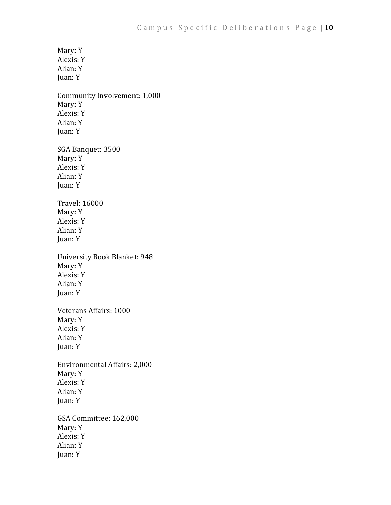Mary: Y Alexis: Y Alian: Y Juan: Y Community Involvement: 1,000 Mary: Y Alexis: Y Alian: Y Juan: Y SGA Banquet: 3500 Mary: Y Alexis: Y Alian: Y Juan: Y Travel: 16000 Mary: Y Alexis: Y Alian: Y Juan: Y University Book Blanket: 948 Mary: Y Alexis: Y Alian: Y Juan: Y Veterans Affairs: 1000 Mary: Y Alexis: Y Alian: Y Juan: Y Environmental Affairs: 2,000 Mary: Y Alexis: Y Alian: Y Juan: Y GSA Committee: 162,000 Mary: Y Alexis: Y Alian: Y Juan: Y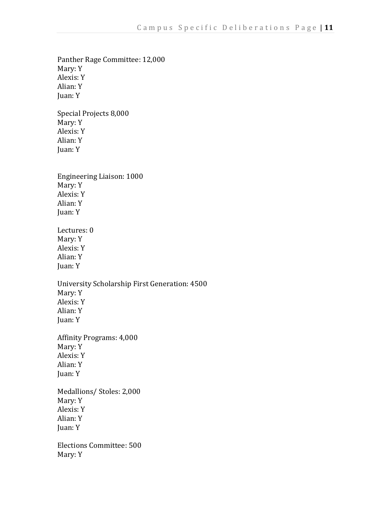Panther Rage Committee: 12,000 Mary: Y Alexis: Y Alian: Y Juan: Y Special Projects 8,000 Mary: Y Alexis: Y Alian: Y Juan: Y Engineering Liaison: 1000 Mary: Y Alexis: Y Alian: Y Juan: Y Lectures: 0 Mary: Y Alexis: Y Alian: Y Juan: Y University Scholarship First Generation: 4500 Mary: Y Alexis: Y Alian: Y Juan: Y Affinity Programs: 4,000 Mary: Y Alexis: Y Alian: Y Juan: Y Medallions/ Stoles: 2,000 Mary: Y Alexis: Y Alian: Y Juan: Y Elections Committee: 500 Mary: Y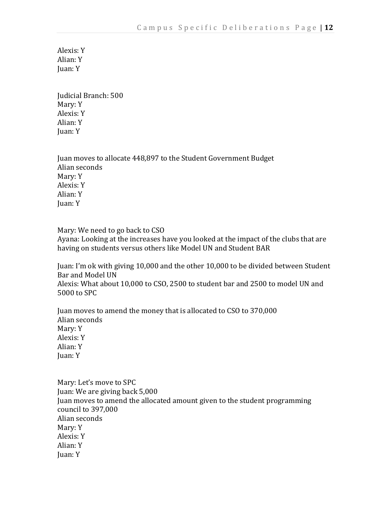Alexis: Y Alian: Y Juan: Y

Judicial Branch: 500 Mary: Y Alexis: Y Alian: Y Juan: Y

Juan moves to allocate 448,897 to the Student Government Budget Alian seconds Mary: Y Alexis: Y Alian: Y Juan: Y

Mary: We need to go back to CSO Ayana: Looking at the increases have you looked at the impact of the clubs that are having on students versus others like Model UN and Student BAR

Juan: I'm ok with giving 10,000 and the other 10,000 to be divided between Student Bar and Model UN

Alexis: What about 10,000 to CSO, 2500 to student bar and 2500 to model UN and 5000 to SPC

Juan moves to amend the money that is allocated to CSO to 370,000 Alian seconds Mary: Y Alexis: Y Alian: Y Juan: Y

Mary: Let's move to SPC Juan: We are giving back 5,000 Juan moves to amend the allocated amount given to the student programming council to 397,000 Alian seconds Mary: Y Alexis: Y Alian: Y Juan: Y